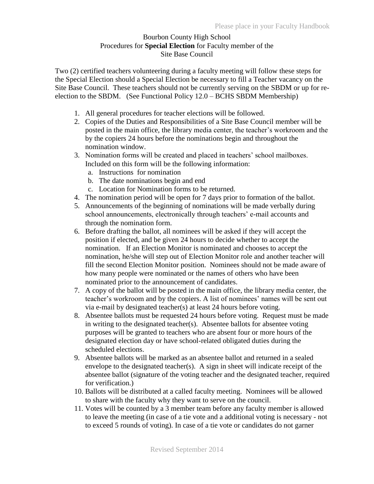## Bourbon County High School Procedures for **Special Election** for Faculty member of the Site Base Council

Two (2) certified teachers volunteering during a faculty meeting will follow these steps for the Special Election should a Special Election be necessary to fill a Teacher vacancy on the Site Base Council. These teachers should not be currently serving on the SBDM or up for reelection to the SBDM. (See Functional Policy 12.0 – BCHS SBDM Membership)

- 1. All general procedures for teacher elections will be followed.
- 2. Copies of the Duties and Responsibilities of a Site Base Council member will be posted in the main office, the library media center, the teacher's workroom and the by the copiers 24 hours before the nominations begin and throughout the nomination window.
- 3. Nomination forms will be created and placed in teachers' school mailboxes. Included on this form will be the following information:
	- a. Instructions for nomination
	- b. The date nominations begin and end
	- c. Location for Nomination forms to be returned.
- 4. The nomination period will be open for 7 days prior to formation of the ballot.
- 5. Announcements of the beginning of nominations will be made verbally during school announcements, electronically through teachers' e-mail accounts and through the nomination form.
- 6. Before drafting the ballot, all nominees will be asked if they will accept the position if elected, and be given 24 hours to decide whether to accept the nomination. If an Election Monitor is nominated and chooses to accept the nomination, he/she will step out of Election Monitor role and another teacher will fill the second Election Monitor position. Nominees should not be made aware of how many people were nominated or the names of others who have been nominated prior to the announcement of candidates.
- 7. A copy of the ballot will be posted in the main office, the library media center, the teacher's workroom and by the copiers. A list of nominees' names will be sent out via e-mail by designated teacher(s) at least 24 hours before voting.
- 8. Absentee ballots must be requested 24 hours before voting. Request must be made in writing to the designated teacher(s). Absentee ballots for absentee voting purposes will be granted to teachers who are absent four or more hours of the designated election day or have school-related obligated duties during the scheduled elections.
- 9. Absentee ballots will be marked as an absentee ballot and returned in a sealed envelope to the designated teacher(s). A sign in sheet will indicate receipt of the absentee ballot (signature of the voting teacher and the designated teacher, required for verification.)
- 10. Ballots will be distributed at a called faculty meeting. Nominees will be allowed to share with the faculty why they want to serve on the council.
- 11. Votes will be counted by a 3 member team before any faculty member is allowed to leave the meeting (in case of a tie vote and a additional voting is necessary - not to exceed 5 rounds of voting). In case of a tie vote or candidates do not garner